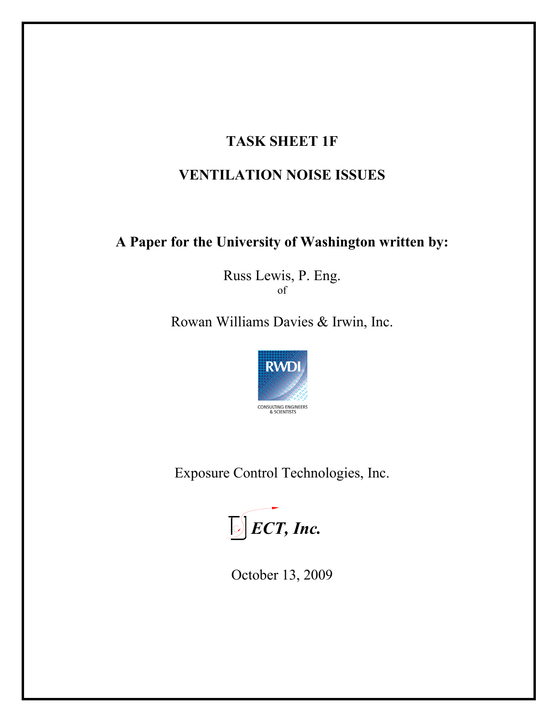# **TASK SHEET 1F**

# **VENTILATION NOISE ISSUES**

# **A Paper for the University of Washington written by:**

Russ Lewis, P. Eng. of

Rowan Williams Davies & Irwin, Inc.



Exposure Control Technologies, Inc.



October 13, 2009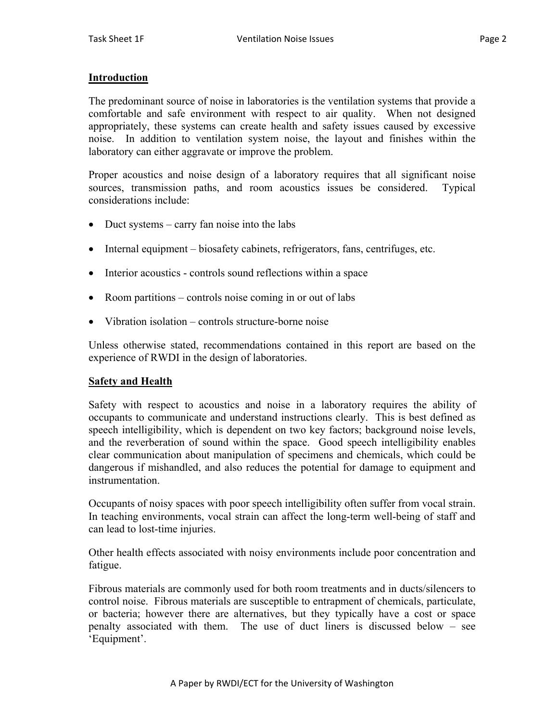# **Introduction**

The predominant source of noise in laboratories is the ventilation systems that provide a comfortable and safe environment with respect to air quality. When not designed appropriately, these systems can create health and safety issues caused by excessive noise. In addition to ventilation system noise, the layout and finishes within the laboratory can either aggravate or improve the problem.

Proper acoustics and noise design of a laboratory requires that all significant noise sources, transmission paths, and room acoustics issues be considered. Typical considerations include:

- Duct systems carry fan noise into the labs
- Internal equipment biosafety cabinets, refrigerators, fans, centrifuges, etc.
- Interior acoustics controls sound reflections within a space
- Room partitions controls noise coming in or out of labs
- Vibration isolation controls structure-borne noise

Unless otherwise stated, recommendations contained in this report are based on the experience of RWDI in the design of laboratories.

# **Safety and Health**

Safety with respect to acoustics and noise in a laboratory requires the ability of occupants to communicate and understand instructions clearly. This is best defined as speech intelligibility, which is dependent on two key factors; background noise levels, and the reverberation of sound within the space. Good speech intelligibility enables clear communication about manipulation of specimens and chemicals, which could be dangerous if mishandled, and also reduces the potential for damage to equipment and instrumentation.

Occupants of noisy spaces with poor speech intelligibility often suffer from vocal strain. In teaching environments, vocal strain can affect the long-term well-being of staff and can lead to lost-time injuries.

Other health effects associated with noisy environments include poor concentration and fatigue.

Fibrous materials are commonly used for both room treatments and in ducts/silencers to control noise. Fibrous materials are susceptible to entrapment of chemicals, particulate, or bacteria; however there are alternatives, but they typically have a cost or space penalty associated with them. The use of duct liners is discussed below – see 'Equipment'.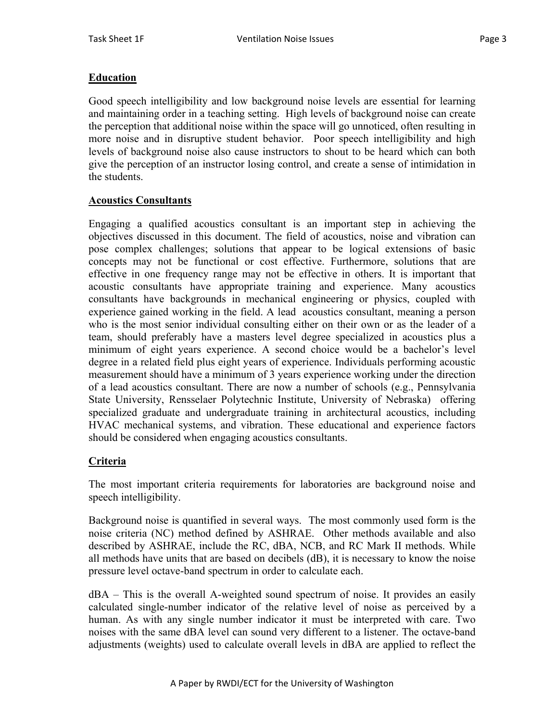# **Education**

Good speech intelligibility and low background noise levels are essential for learning and maintaining order in a teaching setting. High levels of background noise can create the perception that additional noise within the space will go unnoticed, often resulting in more noise and in disruptive student behavior. Poor speech intelligibility and high levels of background noise also cause instructors to shout to be heard which can both give the perception of an instructor losing control, and create a sense of intimidation in the students.

# **Acoustics Consultants**

Engaging a qualified acoustics consultant is an important step in achieving the objectives discussed in this document. The field of acoustics, noise and vibration can pose complex challenges; solutions that appear to be logical extensions of basic concepts may not be functional or cost effective. Furthermore, solutions that are effective in one frequency range may not be effective in others. It is important that acoustic consultants have appropriate training and experience. Many acoustics consultants have backgrounds in mechanical engineering or physics, coupled with experience gained working in the field. A lead acoustics consultant, meaning a person who is the most senior individual consulting either on their own or as the leader of a team, should preferably have a masters level degree specialized in acoustics plus a minimum of eight years experience. A second choice would be a bachelor's level degree in a related field plus eight years of experience. Individuals performing acoustic measurement should have a minimum of 3 years experience working under the direction of a lead acoustics consultant. There are now a number of schools (e.g., Pennsylvania State University, Rensselaer Polytechnic Institute, University of Nebraska) offering specialized graduate and undergraduate training in architectural acoustics, including HVAC mechanical systems, and vibration. These educational and experience factors should be considered when engaging acoustics consultants.

# **Criteria**

The most important criteria requirements for laboratories are background noise and speech intelligibility.

Background noise is quantified in several ways. The most commonly used form is the noise criteria (NC) method defined by ASHRAE. Other methods available and also described by ASHRAE, include the RC, dBA, NCB, and RC Mark II methods. While all methods have units that are based on decibels (dB), it is necessary to know the noise pressure level octave-band spectrum in order to calculate each.

dBA – This is the overall A-weighted sound spectrum of noise. It provides an easily calculated single-number indicator of the relative level of noise as perceived by a human. As with any single number indicator it must be interpreted with care. Two noises with the same dBA level can sound very different to a listener. The octave-band adjustments (weights) used to calculate overall levels in dBA are applied to reflect the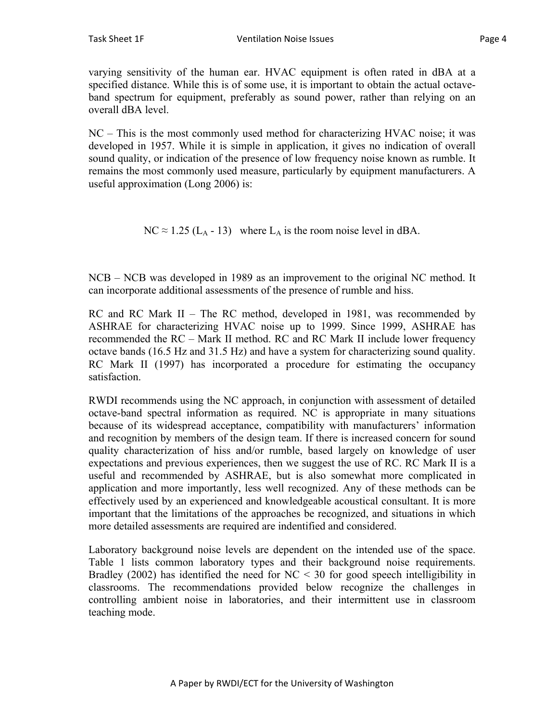varying sensitivity of the human ear. HVAC equipment is often rated in dBA at a specified distance. While this is of some use, it is important to obtain the actual octaveband spectrum for equipment, preferably as sound power, rather than relying on an overall dBA level.

NC – This is the most commonly used method for characterizing HVAC noise; it was developed in 1957. While it is simple in application, it gives no indication of overall sound quality, or indication of the presence of low frequency noise known as rumble. It remains the most commonly used measure, particularly by equipment manufacturers. A useful approximation (Long 2006) is:

 $NC \approx 1.25$  (L<sub>A</sub> - 13) where L<sub>A</sub> is the room noise level in dBA.

NCB – NCB was developed in 1989 as an improvement to the original NC method. It can incorporate additional assessments of the presence of rumble and hiss.

RC and RC Mark II – The RC method, developed in 1981, was recommended by ASHRAE for characterizing HVAC noise up to 1999. Since 1999, ASHRAE has recommended the RC – Mark II method. RC and RC Mark II include lower frequency octave bands (16.5 Hz and 31.5 Hz) and have a system for characterizing sound quality. RC Mark II (1997) has incorporated a procedure for estimating the occupancy satisfaction.

RWDI recommends using the NC approach, in conjunction with assessment of detailed octave-band spectral information as required. NC is appropriate in many situations because of its widespread acceptance, compatibility with manufacturers' information and recognition by members of the design team. If there is increased concern for sound quality characterization of hiss and/or rumble, based largely on knowledge of user expectations and previous experiences, then we suggest the use of RC. RC Mark II is a useful and recommended by ASHRAE, but is also somewhat more complicated in application and more importantly, less well recognized. Any of these methods can be effectively used by an experienced and knowledgeable acoustical consultant. It is more important that the limitations of the approaches be recognized, and situations in which more detailed assessments are required are indentified and considered.

Laboratory background noise levels are dependent on the intended use of the space. Table 1 lists common laboratory types and their background noise requirements. Bradley (2002) has identified the need for  $NC < 30$  for good speech intelligibility in classrooms. The recommendations provided below recognize the challenges in controlling ambient noise in laboratories, and their intermittent use in classroom teaching mode.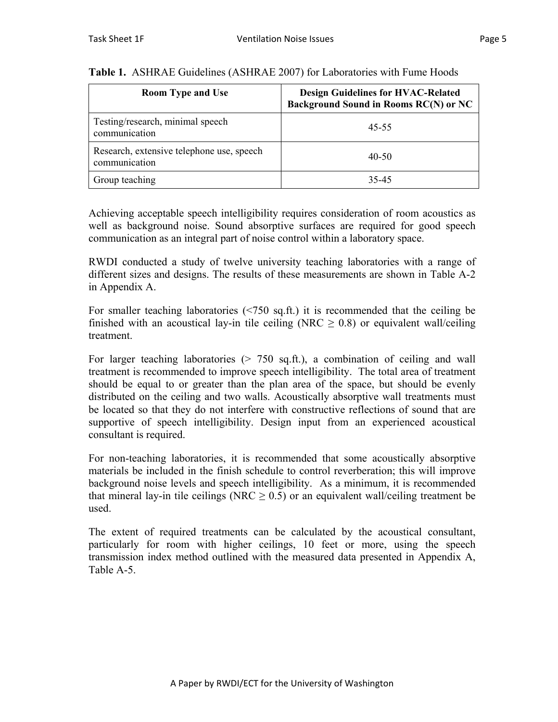| <b>Room Type and Use</b>                                   | <b>Design Guidelines for HVAC-Related</b><br><b>Background Sound in Rooms RC(N) or NC</b> |
|------------------------------------------------------------|-------------------------------------------------------------------------------------------|
| Testing/research, minimal speech<br>communication          | 45-55                                                                                     |
| Research, extensive telephone use, speech<br>communication | 40-50                                                                                     |
| Group teaching                                             | 35-45                                                                                     |

## **Table 1.** ASHRAE Guidelines (ASHRAE 2007) for Laboratories with Fume Hoods

Achieving acceptable speech intelligibility requires consideration of room acoustics as well as background noise. Sound absorptive surfaces are required for good speech communication as an integral part of noise control within a laboratory space.

RWDI conducted a study of twelve university teaching laboratories with a range of different sizes and designs. The results of these measurements are shown in Table A-2 in Appendix A.

For smaller teaching laboratories (<750 sq.ft.) it is recommended that the ceiling be finished with an acoustical lay-in tile ceiling (NRC  $\geq$  0.8) or equivalent wall/ceiling treatment.

For larger teaching laboratories ( $> 750$  sq.ft.), a combination of ceiling and wall treatment is recommended to improve speech intelligibility. The total area of treatment should be equal to or greater than the plan area of the space, but should be evenly distributed on the ceiling and two walls. Acoustically absorptive wall treatments must be located so that they do not interfere with constructive reflections of sound that are supportive of speech intelligibility. Design input from an experienced acoustical consultant is required.

For non-teaching laboratories, it is recommended that some acoustically absorptive materials be included in the finish schedule to control reverberation; this will improve background noise levels and speech intelligibility. As a minimum, it is recommended that mineral lay-in tile ceilings (NRC  $\geq$  0.5) or an equivalent wall/ceiling treatment be used.

The extent of required treatments can be calculated by the acoustical consultant, particularly for room with higher ceilings, 10 feet or more, using the speech transmission index method outlined with the measured data presented in Appendix A, Table A-5.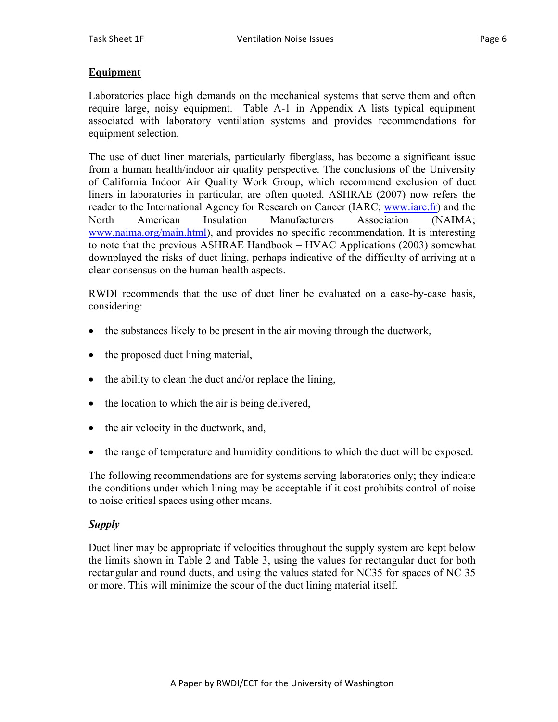# **Equipment**

Laboratories place high demands on the mechanical systems that serve them and often require large, noisy equipment. Table A-1 in Appendix A lists typical equipment associated with laboratory ventilation systems and provides recommendations for equipment selection.

The use of duct liner materials, particularly fiberglass, has become a significant issue from a human health/indoor air quality perspective. The conclusions of the University of California Indoor Air Quality Work Group, which recommend exclusion of duct liners in laboratories in particular, are often quoted. ASHRAE (2007) now refers the reader to the International Agency for Research on Cancer (IARC; www.iarc.fr) and the North American Insulation Manufacturers Association (NAIMA; www.naima.org/main.html), and provides no specific recommendation. It is interesting to note that the previous ASHRAE Handbook – HVAC Applications (2003) somewhat downplayed the risks of duct lining, perhaps indicative of the difficulty of arriving at a clear consensus on the human health aspects.

RWDI recommends that the use of duct liner be evaluated on a case-by-case basis, considering:

- the substances likely to be present in the air moving through the ductwork,
- the proposed duct lining material,
- the ability to clean the duct and/or replace the lining,
- the location to which the air is being delivered,
- the air velocity in the ductwork, and,
- the range of temperature and humidity conditions to which the duct will be exposed.

The following recommendations are for systems serving laboratories only; they indicate the conditions under which lining may be acceptable if it cost prohibits control of noise to noise critical spaces using other means.

# *Supply*

Duct liner may be appropriate if velocities throughout the supply system are kept below the limits shown in Table 2 and Table 3, using the values for rectangular duct for both rectangular and round ducts, and using the values stated for NC35 for spaces of NC 35 or more. This will minimize the scour of the duct lining material itself.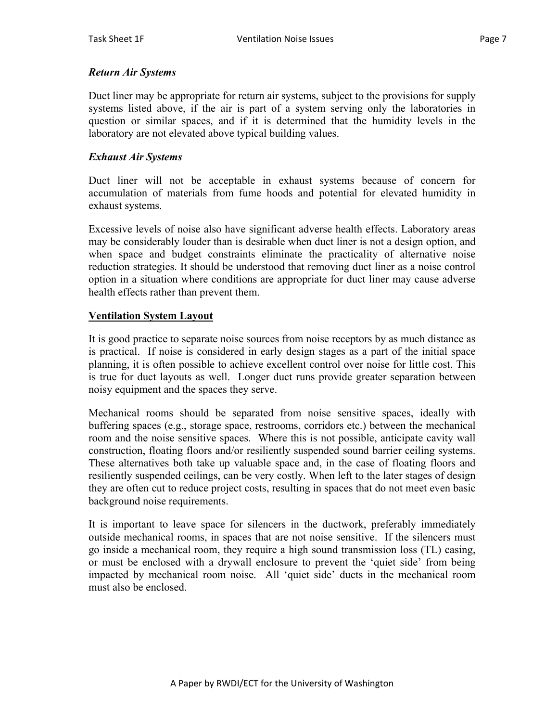# *Return Air Systems*

Duct liner may be appropriate for return air systems, subject to the provisions for supply systems listed above, if the air is part of a system serving only the laboratories in question or similar spaces, and if it is determined that the humidity levels in the laboratory are not elevated above typical building values.

# *Exhaust Air Systems*

Duct liner will not be acceptable in exhaust systems because of concern for accumulation of materials from fume hoods and potential for elevated humidity in exhaust systems.

Excessive levels of noise also have significant adverse health effects. Laboratory areas may be considerably louder than is desirable when duct liner is not a design option, and when space and budget constraints eliminate the practicality of alternative noise reduction strategies. It should be understood that removing duct liner as a noise control option in a situation where conditions are appropriate for duct liner may cause adverse health effects rather than prevent them.

# **Ventilation System Layout**

It is good practice to separate noise sources from noise receptors by as much distance as is practical. If noise is considered in early design stages as a part of the initial space planning, it is often possible to achieve excellent control over noise for little cost. This is true for duct layouts as well. Longer duct runs provide greater separation between noisy equipment and the spaces they serve.

Mechanical rooms should be separated from noise sensitive spaces, ideally with buffering spaces (e.g., storage space, restrooms, corridors etc.) between the mechanical room and the noise sensitive spaces. Where this is not possible, anticipate cavity wall construction, floating floors and/or resiliently suspended sound barrier ceiling systems. These alternatives both take up valuable space and, in the case of floating floors and resiliently suspended ceilings, can be very costly. When left to the later stages of design they are often cut to reduce project costs, resulting in spaces that do not meet even basic background noise requirements.

It is important to leave space for silencers in the ductwork, preferably immediately outside mechanical rooms, in spaces that are not noise sensitive. If the silencers must go inside a mechanical room, they require a high sound transmission loss (TL) casing, or must be enclosed with a drywall enclosure to prevent the 'quiet side' from being impacted by mechanical room noise. All 'quiet side' ducts in the mechanical room must also be enclosed.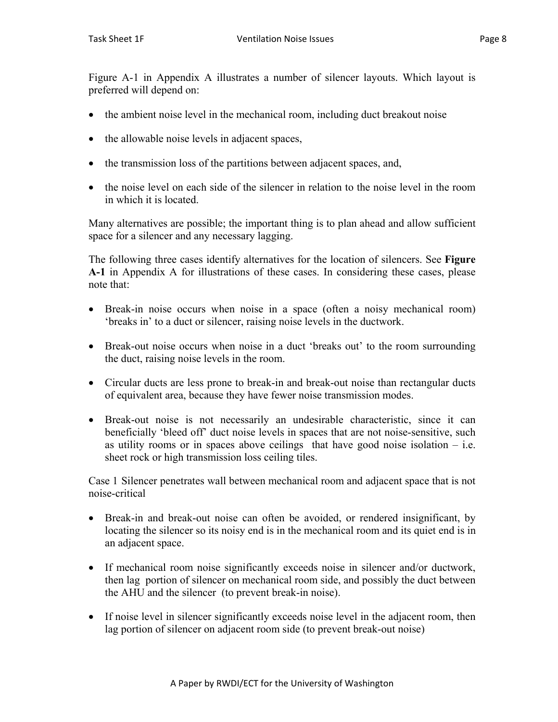Figure A-1 in Appendix A illustrates a number of silencer layouts. Which layout is preferred will depend on:

- the ambient noise level in the mechanical room, including duct breakout noise
- the allowable noise levels in adjacent spaces,
- the transmission loss of the partitions between adjacent spaces, and,
- the noise level on each side of the silencer in relation to the noise level in the room in which it is located.

Many alternatives are possible; the important thing is to plan ahead and allow sufficient space for a silencer and any necessary lagging.

The following three cases identify alternatives for the location of silencers. See **Figure A-1** in Appendix A for illustrations of these cases. In considering these cases, please note that:

- Break-in noise occurs when noise in a space (often a noisy mechanical room) 'breaks in' to a duct or silencer, raising noise levels in the ductwork.
- Break-out noise occurs when noise in a duct 'breaks out' to the room surrounding the duct, raising noise levels in the room.
- Circular ducts are less prone to break-in and break-out noise than rectangular ducts of equivalent area, because they have fewer noise transmission modes.
- Break-out noise is not necessarily an undesirable characteristic, since it can beneficially 'bleed off' duct noise levels in spaces that are not noise-sensitive, such as utility rooms or in spaces above ceilings that have good noise isolation  $-$  i.e. sheet rock or high transmission loss ceiling tiles.

Case 1 Silencer penetrates wall between mechanical room and adjacent space that is not noise-critical

- Break-in and break-out noise can often be avoided, or rendered insignificant, by locating the silencer so its noisy end is in the mechanical room and its quiet end is in an adjacent space.
- If mechanical room noise significantly exceeds noise in silencer and/or ductwork, then lag portion of silencer on mechanical room side, and possibly the duct between the AHU and the silencer (to prevent break-in noise).
- If noise level in silencer significantly exceeds noise level in the adjacent room, then lag portion of silencer on adjacent room side (to prevent break-out noise)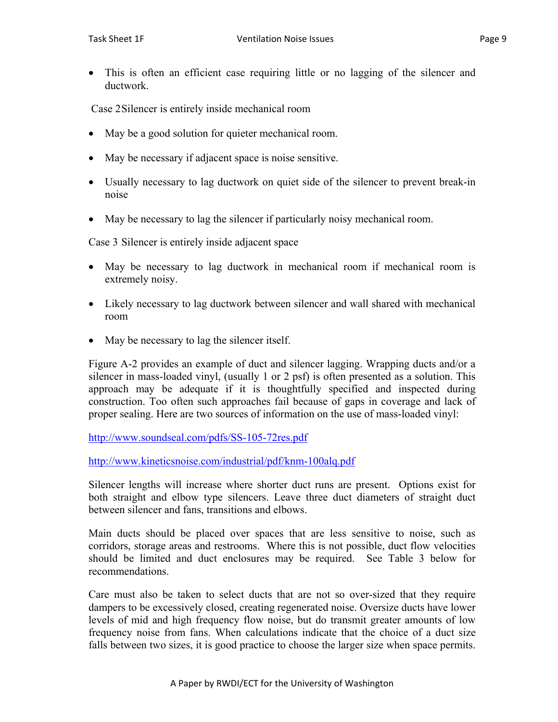• This is often an efficient case requiring little or no lagging of the silencer and ductwork.

Case 2 Silencer is entirely inside mechanical room

- May be a good solution for quieter mechanical room.
- May be necessary if adjacent space is noise sensitive.
- Usually necessary to lag ductwork on quiet side of the silencer to prevent break-in noise
- May be necessary to lag the silencer if particularly noisy mechanical room.

Case 3 Silencer is entirely inside adjacent space

- May be necessary to lag ductwork in mechanical room if mechanical room is extremely noisy.
- Likely necessary to lag ductwork between silencer and wall shared with mechanical room
- May be necessary to lag the silencer itself.

Figure A-2 provides an example of duct and silencer lagging. Wrapping ducts and/or a silencer in mass-loaded vinyl, (usually 1 or 2 psf) is often presented as a solution. This approach may be adequate if it is thoughtfully specified and inspected during construction. Too often such approaches fail because of gaps in coverage and lack of proper sealing. Here are two sources of information on the use of mass-loaded vinyl:

http://www.soundseal.com/pdfs/SS-105-72res.pdf

http://www.kineticsnoise.com/industrial/pdf/knm-100alq.pdf

Silencer lengths will increase where shorter duct runs are present. Options exist for both straight and elbow type silencers. Leave three duct diameters of straight duct between silencer and fans, transitions and elbows.

Main ducts should be placed over spaces that are less sensitive to noise, such as corridors, storage areas and restrooms. Where this is not possible, duct flow velocities should be limited and duct enclosures may be required. See Table 3 below for recommendations.

Care must also be taken to select ducts that are not so over-sized that they require dampers to be excessively closed, creating regenerated noise. Oversize ducts have lower levels of mid and high frequency flow noise, but do transmit greater amounts of low frequency noise from fans. When calculations indicate that the choice of a duct size falls between two sizes, it is good practice to choose the larger size when space permits.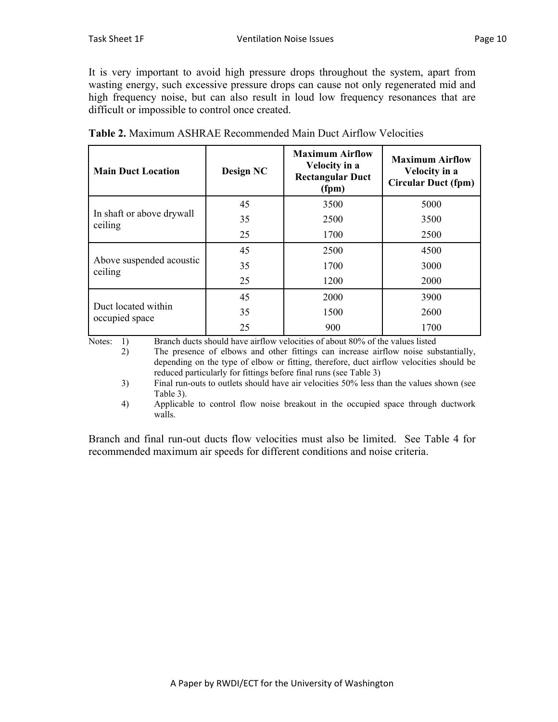It is very important to avoid high pressure drops throughout the system, apart from wasting energy, such excessive pressure drops can cause not only regenerated mid and high frequency noise, but can also result in loud low frequency resonances that are difficult or impossible to control once created.

| <b>Main Duct Location</b>             | <b>Design NC</b> | <b>Maximum Airflow</b><br>Velocity in a<br><b>Rectangular Duct</b><br>(fpm) | <b>Maximum Airflow</b><br>Velocity in a<br><b>Circular Duct (fpm)</b> |
|---------------------------------------|------------------|-----------------------------------------------------------------------------|-----------------------------------------------------------------------|
| In shaft or above drywall<br>ceiling  | 45               | 3500                                                                        | 5000                                                                  |
|                                       | 35               | 2500                                                                        | 3500                                                                  |
|                                       | 25               | 1700                                                                        | 2500                                                                  |
| Above suspended acoustic<br>ceiling   | 45               | 2500                                                                        | 4500                                                                  |
|                                       | 35               | 1700                                                                        | 3000                                                                  |
|                                       | 25               | 1200                                                                        | 2000                                                                  |
| Duct located within<br>occupied space | 45               | 2000                                                                        | 3900                                                                  |
|                                       | 35               | 1500                                                                        | 2600                                                                  |
|                                       | 25               | 900                                                                         | 1700                                                                  |

|  | <b>Table 2.</b> Maximum ASHRAE Recommended Main Duct Airflow Velocities |
|--|-------------------------------------------------------------------------|
|  |                                                                         |

Notes: 1) Branch ducts should have airflow velocities of about 80% of the values listed

 2) The presence of elbows and other fittings can increase airflow noise substantially, depending on the type of elbow or fitting, therefore, duct airflow velocities should be reduced particularly for fittings before final runs (see Table 3)

 3) Final run-outs to outlets should have air velocities 50% less than the values shown (see Table 3).

 4) Applicable to control flow noise breakout in the occupied space through ductwork walls.

Branch and final run-out ducts flow velocities must also be limited. See Table 4 for recommended maximum air speeds for different conditions and noise criteria.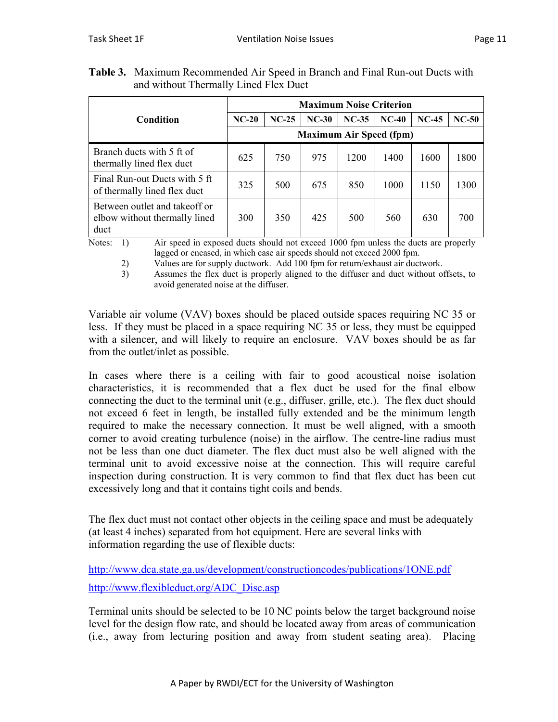|                                                                        | <b>Maximum Noise Criterion</b> |         |         |         |         |         |         |
|------------------------------------------------------------------------|--------------------------------|---------|---------|---------|---------|---------|---------|
| Condition                                                              | $NC-20$                        | $NC-25$ | $NC-30$ | $NC-35$ | $NC-40$ | $NC-45$ | $NC-50$ |
|                                                                        | <b>Maximum Air Speed (fpm)</b> |         |         |         |         |         |         |
| Branch ducts with 5 ft of<br>thermally lined flex duct                 | 625                            | 750     | 975     | 1200    | 1400    | 1600    | 1800    |
| Final Run-out Ducts with 5 ft<br>of thermally lined flex duct          | 325                            | 500     | 675     | 850     | 1000    | 1150    | 1300    |
| Between outlet and takeoff or<br>elbow without thermally lined<br>duct | 300                            | 350     | 425     | 500     | 560     | 630     | 700     |

**Table 3.** Maximum Recommended Air Speed in Branch and Final Run-out Ducts with and without Thermally Lined Flex Duct

Notes: 1) Air speed in exposed ducts should not exceed 1000 fpm unless the ducts are properly lagged or encased, in which case air speeds should not exceed 2000 fpm.

2) Values are for supply ductwork. Add 100 fpm for return/exhaust air ductwork.

 3) Assumes the flex duct is properly aligned to the diffuser and duct without offsets, to avoid generated noise at the diffuser.

Variable air volume (VAV) boxes should be placed outside spaces requiring NC 35 or less. If they must be placed in a space requiring NC 35 or less, they must be equipped with a silencer, and will likely to require an enclosure. VAV boxes should be as far from the outlet/inlet as possible.

In cases where there is a ceiling with fair to good acoustical noise isolation characteristics, it is recommended that a flex duct be used for the final elbow connecting the duct to the terminal unit (e.g., diffuser, grille, etc.). The flex duct should not exceed 6 feet in length, be installed fully extended and be the minimum length required to make the necessary connection. It must be well aligned, with a smooth corner to avoid creating turbulence (noise) in the airflow. The centre-line radius must not be less than one duct diameter. The flex duct must also be well aligned with the terminal unit to avoid excessive noise at the connection. This will require careful inspection during construction. It is very common to find that flex duct has been cut excessively long and that it contains tight coils and bends.

The flex duct must not contact other objects in the ceiling space and must be adequately (at least 4 inches) separated from hot equipment. Here are several links with information regarding the use of flexible ducts:

http://www.dca.state.ga.us/development/constructioncodes/publications/1ONE.pdf http://www.flexibleduct.org/ADC\_Disc.asp

Terminal units should be selected to be 10 NC points below the target background noise level for the design flow rate, and should be located away from areas of communication (i.e., away from lecturing position and away from student seating area). Placing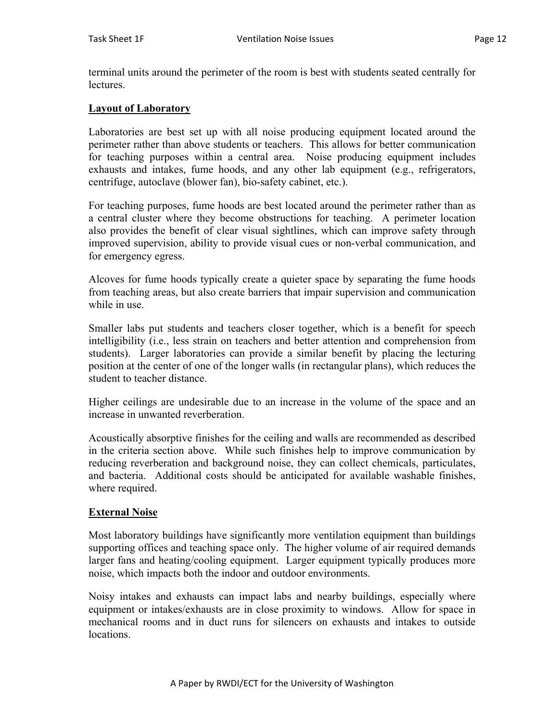terminal units around the perimeter of the room is best with students seated centrally for **lectures** 

### **Layout of Laboratory**

Laboratories are best set up with all noise producing equipment located around the perimeter rather than above students or teachers. This allows for better communication for teaching purposes within a central area. Noise producing equipment includes exhausts and intakes, fume hoods, and any other lab equipment (e.g., refrigerators, centrifuge, autoclave (blower fan), bio-safety cabinet, etc.).

For teaching purposes, fume hoods are best located around the perimeter rather than as a central cluster where they become obstructions for teaching. A perimeter location also provides the benefit of clear visual sightlines, which can improve safety through improved supervision, ability to provide visual cues or non-verbal communication, and for emergency egress.

Alcoves for fume hoods typically create a quieter space by separating the fume hoods from teaching areas, but also create barriers that impair supervision and communication while in use.

Smaller labs put students and teachers closer together, which is a benefit for speech intelligibility (i.e., less strain on teachers and better attention and comprehension from students). Larger laboratories can provide a similar benefit by placing the lecturing position at the center of one of the longer walls (in rectangular plans), which reduces the student to teacher distance.

Higher ceilings are undesirable due to an increase in the volume of the space and an increase in unwanted reverberation.

Acoustically absorptive finishes for the ceiling and walls are recommended as described in the criteria section above. While such finishes help to improve communication by reducing reverberation and background noise, they can collect chemicals, particulates, and bacteria. Additional costs should be anticipated for available washable finishes, where required.

#### **External Noise**

Most laboratory buildings have significantly more ventilation equipment than buildings supporting offices and teaching space only. The higher volume of air required demands larger fans and heating/cooling equipment. Larger equipment typically produces more noise, which impacts both the indoor and outdoor environments.

Noisy intakes and exhausts can impact labs and nearby buildings, especially where equipment or intakes/exhausts are in close proximity to windows. Allow for space in mechanical rooms and in duct runs for silencers on exhausts and intakes to outside locations.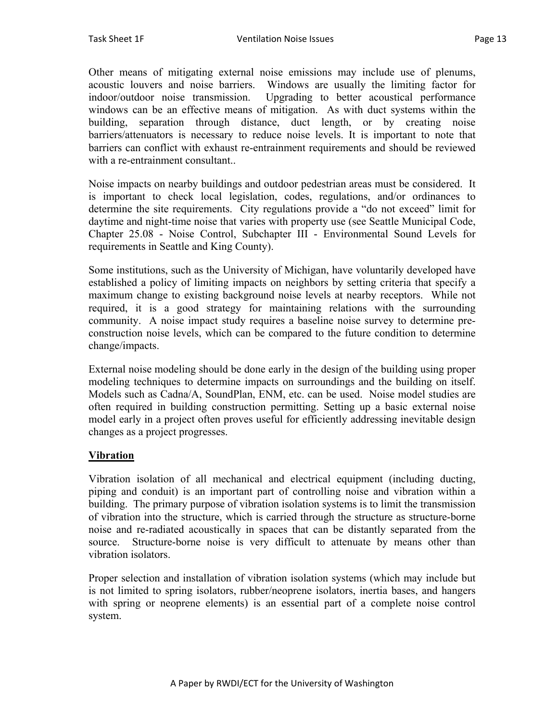Other means of mitigating external noise emissions may include use of plenums, acoustic louvers and noise barriers. Windows are usually the limiting factor for indoor/outdoor noise transmission. Upgrading to better acoustical performance windows can be an effective means of mitigation. As with duct systems within the building, separation through distance, duct length, or by creating noise barriers/attenuators is necessary to reduce noise levels. It is important to note that barriers can conflict with exhaust re-entrainment requirements and should be reviewed with a re-entrainment consultant..

Noise impacts on nearby buildings and outdoor pedestrian areas must be considered. It is important to check local legislation, codes, regulations, and/or ordinances to determine the site requirements. City regulations provide a "do not exceed" limit for daytime and night-time noise that varies with property use (see Seattle Municipal Code, Chapter 25.08 - Noise Control, Subchapter III - Environmental Sound Levels for requirements in Seattle and King County).

Some institutions, such as the University of Michigan, have voluntarily developed have established a policy of limiting impacts on neighbors by setting criteria that specify a maximum change to existing background noise levels at nearby receptors. While not required, it is a good strategy for maintaining relations with the surrounding community. A noise impact study requires a baseline noise survey to determine preconstruction noise levels, which can be compared to the future condition to determine change/impacts.

External noise modeling should be done early in the design of the building using proper modeling techniques to determine impacts on surroundings and the building on itself. Models such as Cadna/A, SoundPlan, ENM, etc. can be used. Noise model studies are often required in building construction permitting. Setting up a basic external noise model early in a project often proves useful for efficiently addressing inevitable design changes as a project progresses.

# **Vibration**

Vibration isolation of all mechanical and electrical equipment (including ducting, piping and conduit) is an important part of controlling noise and vibration within a building. The primary purpose of vibration isolation systems is to limit the transmission of vibration into the structure, which is carried through the structure as structure-borne noise and re-radiated acoustically in spaces that can be distantly separated from the source. Structure-borne noise is very difficult to attenuate by means other than vibration isolators.

Proper selection and installation of vibration isolation systems (which may include but is not limited to spring isolators, rubber/neoprene isolators, inertia bases, and hangers with spring or neoprene elements) is an essential part of a complete noise control system.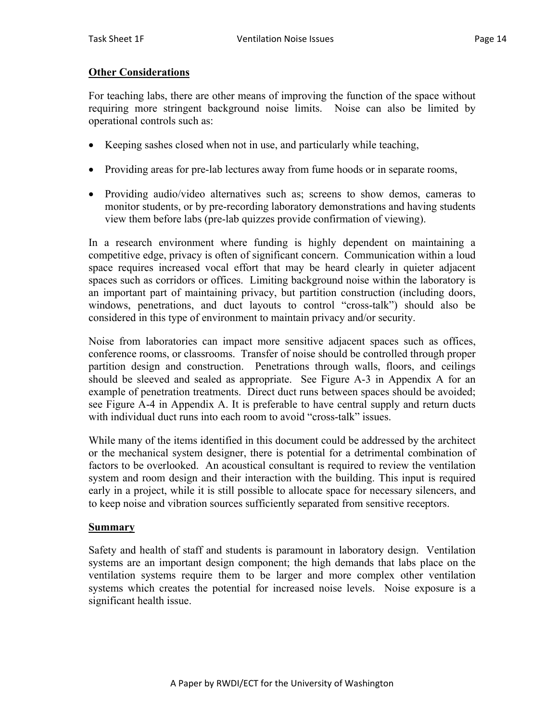# **Other Considerations**

For teaching labs, there are other means of improving the function of the space without requiring more stringent background noise limits. Noise can also be limited by operational controls such as:

- Keeping sashes closed when not in use, and particularly while teaching,
- Providing areas for pre-lab lectures away from fume hoods or in separate rooms,
- Providing audio/video alternatives such as; screens to show demos, cameras to monitor students, or by pre-recording laboratory demonstrations and having students view them before labs (pre-lab quizzes provide confirmation of viewing).

In a research environment where funding is highly dependent on maintaining a competitive edge, privacy is often of significant concern. Communication within a loud space requires increased vocal effort that may be heard clearly in quieter adjacent spaces such as corridors or offices. Limiting background noise within the laboratory is an important part of maintaining privacy, but partition construction (including doors, windows, penetrations, and duct layouts to control "cross-talk") should also be considered in this type of environment to maintain privacy and/or security.

Noise from laboratories can impact more sensitive adjacent spaces such as offices, conference rooms, or classrooms. Transfer of noise should be controlled through proper partition design and construction. Penetrations through walls, floors, and ceilings should be sleeved and sealed as appropriate. See Figure A-3 in Appendix A for an example of penetration treatments. Direct duct runs between spaces should be avoided; see Figure A-4 in Appendix A. It is preferable to have central supply and return ducts with individual duct runs into each room to avoid "cross-talk" issues.

While many of the items identified in this document could be addressed by the architect or the mechanical system designer, there is potential for a detrimental combination of factors to be overlooked. An acoustical consultant is required to review the ventilation system and room design and their interaction with the building. This input is required early in a project, while it is still possible to allocate space for necessary silencers, and to keep noise and vibration sources sufficiently separated from sensitive receptors.

# **Summary**

Safety and health of staff and students is paramount in laboratory design. Ventilation systems are an important design component; the high demands that labs place on the ventilation systems require them to be larger and more complex other ventilation systems which creates the potential for increased noise levels. Noise exposure is a significant health issue.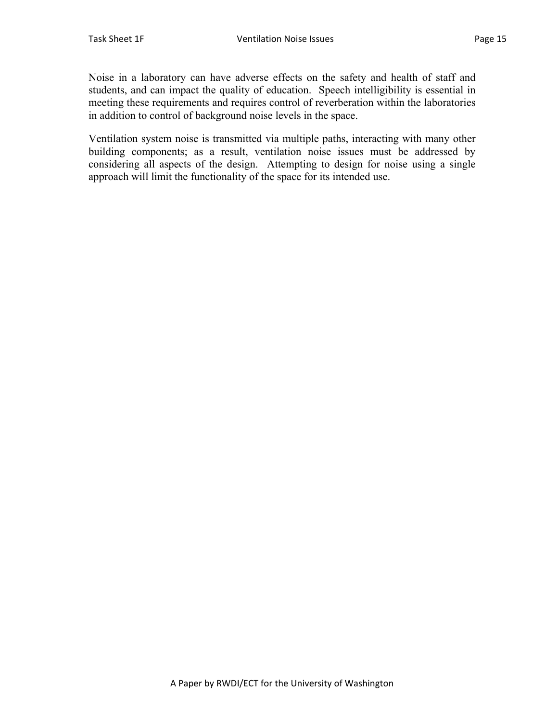Noise in a laboratory can have adverse effects on the safety and health of staff and students, and can impact the quality of education. Speech intelligibility is essential in meeting these requirements and requires control of reverberation within the laboratories in addition to control of background noise levels in the space.

Ventilation system noise is transmitted via multiple paths, interacting with many other building components; as a result, ventilation noise issues must be addressed by considering all aspects of the design. Attempting to design for noise using a single approach will limit the functionality of the space for its intended use.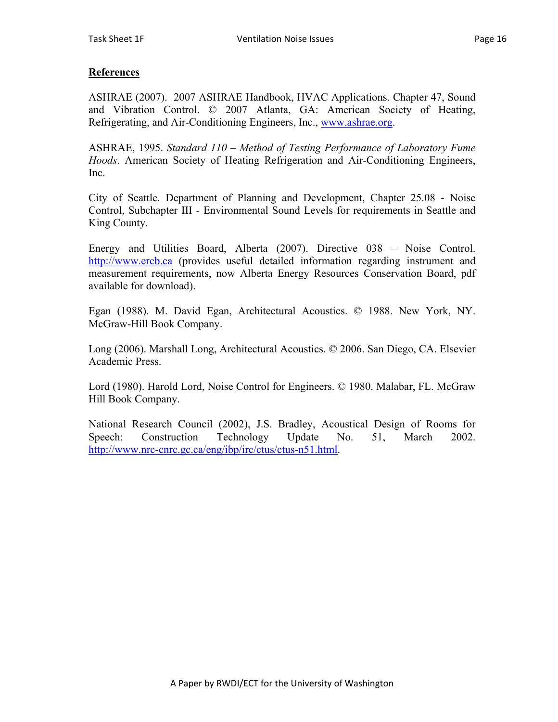# **References**

ASHRAE (2007). 2007 ASHRAE Handbook, HVAC Applications. Chapter 47, Sound and Vibration Control. © 2007 Atlanta, GA: American Society of Heating, Refrigerating, and Air-Conditioning Engineers, Inc., www.ashrae.org.

ASHRAE, 1995. *Standard 110 – Method of Testing Performance of Laboratory Fume Hoods*. American Society of Heating Refrigeration and Air-Conditioning Engineers, Inc.

City of Seattle. Department of Planning and Development, Chapter 25.08 - Noise Control, Subchapter III - Environmental Sound Levels for requirements in Seattle and King County.

Energy and Utilities Board, Alberta (2007). Directive 038 – Noise Control. http://www.ercb.ca (provides useful detailed information regarding instrument and measurement requirements, now Alberta Energy Resources Conservation Board, pdf available for download).

Egan (1988). M. David Egan, Architectural Acoustics. © 1988. New York, NY. McGraw-Hill Book Company.

Long (2006). Marshall Long, Architectural Acoustics. © 2006. San Diego, CA. Elsevier Academic Press.

Lord (1980). Harold Lord, Noise Control for Engineers. © 1980. Malabar, FL. McGraw Hill Book Company.

National Research Council (2002), J.S. Bradley, Acoustical Design of Rooms for Speech: Construction Technology Update No. 51, March 2002. http://www.nrc-cnrc.gc.ca/eng/ibp/irc/ctus/ctus-n51.html.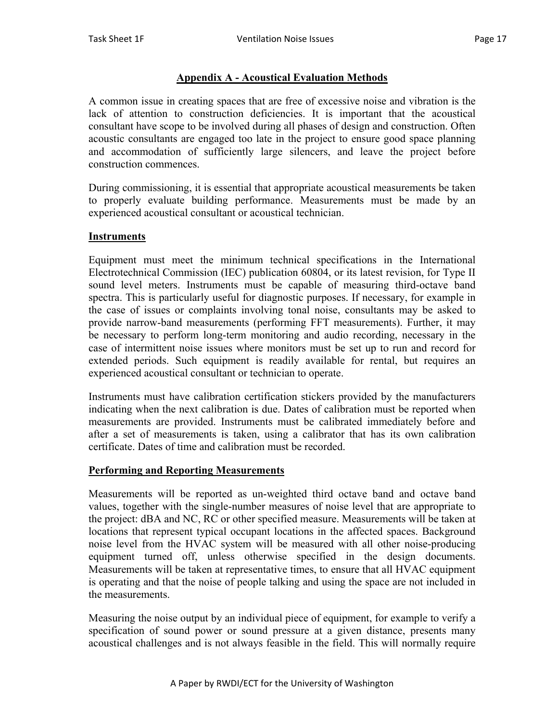# **Appendix A - Acoustical Evaluation Methods**

A common issue in creating spaces that are free of excessive noise and vibration is the lack of attention to construction deficiencies. It is important that the acoustical consultant have scope to be involved during all phases of design and construction. Often acoustic consultants are engaged too late in the project to ensure good space planning and accommodation of sufficiently large silencers, and leave the project before construction commences.

During commissioning, it is essential that appropriate acoustical measurements be taken to properly evaluate building performance. Measurements must be made by an experienced acoustical consultant or acoustical technician.

#### **Instruments**

Equipment must meet the minimum technical specifications in the International Electrotechnical Commission (IEC) publication 60804, or its latest revision, for Type II sound level meters. Instruments must be capable of measuring third-octave band spectra. This is particularly useful for diagnostic purposes. If necessary, for example in the case of issues or complaints involving tonal noise, consultants may be asked to provide narrow-band measurements (performing FFT measurements). Further, it may be necessary to perform long-term monitoring and audio recording, necessary in the case of intermittent noise issues where monitors must be set up to run and record for extended periods. Such equipment is readily available for rental, but requires an experienced acoustical consultant or technician to operate.

Instruments must have calibration certification stickers provided by the manufacturers indicating when the next calibration is due. Dates of calibration must be reported when measurements are provided. Instruments must be calibrated immediately before and after a set of measurements is taken, using a calibrator that has its own calibration certificate. Dates of time and calibration must be recorded.

# **Performing and Reporting Measurements**

Measurements will be reported as un-weighted third octave band and octave band values, together with the single-number measures of noise level that are appropriate to the project: dBA and NC, RC or other specified measure. Measurements will be taken at locations that represent typical occupant locations in the affected spaces. Background noise level from the HVAC system will be measured with all other noise-producing equipment turned off, unless otherwise specified in the design documents. Measurements will be taken at representative times, to ensure that all HVAC equipment is operating and that the noise of people talking and using the space are not included in the measurements.

Measuring the noise output by an individual piece of equipment, for example to verify a specification of sound power or sound pressure at a given distance, presents many acoustical challenges and is not always feasible in the field. This will normally require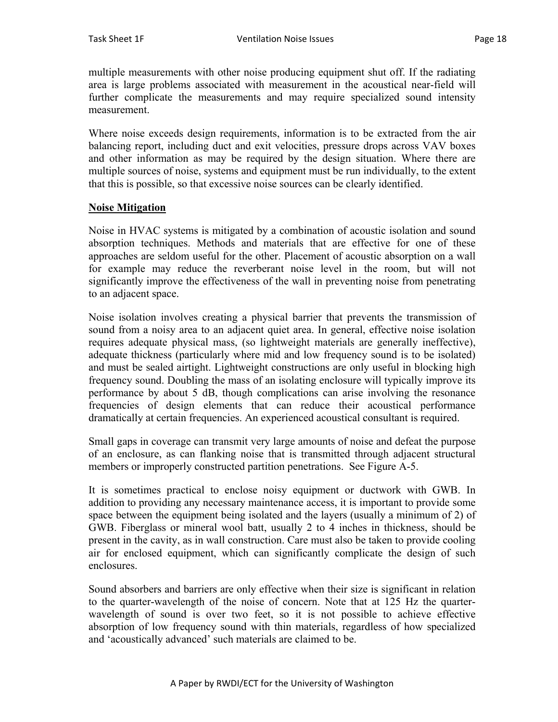multiple measurements with other noise producing equipment shut off. If the radiating area is large problems associated with measurement in the acoustical near-field will further complicate the measurements and may require specialized sound intensity measurement.

Where noise exceeds design requirements, information is to be extracted from the air balancing report, including duct and exit velocities, pressure drops across VAV boxes and other information as may be required by the design situation. Where there are multiple sources of noise, systems and equipment must be run individually, to the extent that this is possible, so that excessive noise sources can be clearly identified.

# **Noise Mitigation**

Noise in HVAC systems is mitigated by a combination of acoustic isolation and sound absorption techniques. Methods and materials that are effective for one of these approaches are seldom useful for the other. Placement of acoustic absorption on a wall for example may reduce the reverberant noise level in the room, but will not significantly improve the effectiveness of the wall in preventing noise from penetrating to an adjacent space.

Noise isolation involves creating a physical barrier that prevents the transmission of sound from a noisy area to an adjacent quiet area. In general, effective noise isolation requires adequate physical mass, (so lightweight materials are generally ineffective), adequate thickness (particularly where mid and low frequency sound is to be isolated) and must be sealed airtight. Lightweight constructions are only useful in blocking high frequency sound. Doubling the mass of an isolating enclosure will typically improve its performance by about 5 dB, though complications can arise involving the resonance frequencies of design elements that can reduce their acoustical performance dramatically at certain frequencies. An experienced acoustical consultant is required.

Small gaps in coverage can transmit very large amounts of noise and defeat the purpose of an enclosure, as can flanking noise that is transmitted through adjacent structural members or improperly constructed partition penetrations. See Figure A-5.

It is sometimes practical to enclose noisy equipment or ductwork with GWB. In addition to providing any necessary maintenance access, it is important to provide some space between the equipment being isolated and the layers (usually a minimum of 2) of GWB. Fiberglass or mineral wool batt, usually 2 to 4 inches in thickness, should be present in the cavity, as in wall construction. Care must also be taken to provide cooling air for enclosed equipment, which can significantly complicate the design of such enclosures.

Sound absorbers and barriers are only effective when their size is significant in relation to the quarter-wavelength of the noise of concern. Note that at 125 Hz the quarterwavelength of sound is over two feet, so it is not possible to achieve effective absorption of low frequency sound with thin materials, regardless of how specialized and 'acoustically advanced' such materials are claimed to be.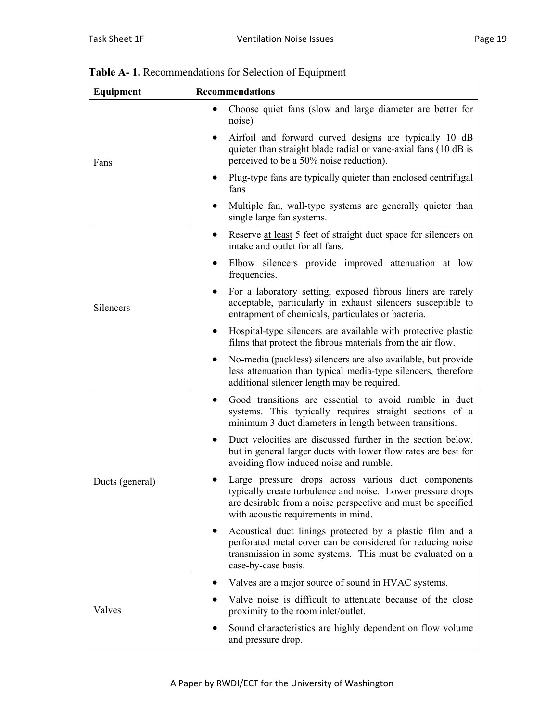| Equipment       | <b>Recommendations</b>                                                                                                                                                                                                    |  |  |  |
|-----------------|---------------------------------------------------------------------------------------------------------------------------------------------------------------------------------------------------------------------------|--|--|--|
|                 | Choose quiet fans (slow and large diameter are better for<br>$\bullet$<br>noise)                                                                                                                                          |  |  |  |
| Fans            | Airfoil and forward curved designs are typically 10 dB<br>quieter than straight blade radial or vane-axial fans (10 dB is<br>perceived to be a 50% noise reduction).                                                      |  |  |  |
|                 | Plug-type fans are typically quieter than enclosed centrifugal<br>fans                                                                                                                                                    |  |  |  |
|                 | Multiple fan, wall-type systems are generally quieter than<br>single large fan systems.                                                                                                                                   |  |  |  |
|                 | Reserve at least 5 feet of straight duct space for silencers on<br>٠<br>intake and outlet for all fans.                                                                                                                   |  |  |  |
|                 | Elbow silencers provide improved attenuation at low<br>٠<br>frequencies.                                                                                                                                                  |  |  |  |
| Silencers       | For a laboratory setting, exposed fibrous liners are rarely<br>٠<br>acceptable, particularly in exhaust silencers susceptible to<br>entrapment of chemicals, particulates or bacteria.                                    |  |  |  |
|                 | Hospital-type silencers are available with protective plastic<br>$\bullet$<br>films that protect the fibrous materials from the air flow.                                                                                 |  |  |  |
|                 | No-media (packless) silencers are also available, but provide<br>less attenuation than typical media-type silencers, therefore<br>additional silencer length may be required.                                             |  |  |  |
|                 | Good transitions are essential to avoid rumble in duct<br>$\bullet$<br>systems. This typically requires straight sections of a<br>minimum 3 duct diameters in length between transitions.                                 |  |  |  |
| Ducts (general) | Duct velocities are discussed further in the section below,<br>but in general larger ducts with lower flow rates are best for<br>avoiding flow induced noise and rumble.                                                  |  |  |  |
|                 | Large pressure drops across various duct components<br>typically create turbulence and noise. Lower pressure drops<br>are desirable from a noise perspective and must be specified<br>with acoustic requirements in mind. |  |  |  |
|                 | Acoustical duct linings protected by a plastic film and a<br>perforated metal cover can be considered for reducing noise<br>transmission in some systems. This must be evaluated on a<br>case-by-case basis.              |  |  |  |
|                 | Valves are a major source of sound in HVAC systems.<br>$\bullet$                                                                                                                                                          |  |  |  |
| Valves          | Valve noise is difficult to attenuate because of the close<br>proximity to the room inlet/outlet.                                                                                                                         |  |  |  |
|                 | Sound characteristics are highly dependent on flow volume<br>and pressure drop.                                                                                                                                           |  |  |  |

**Table A- 1.** Recommendations for Selection of Equipment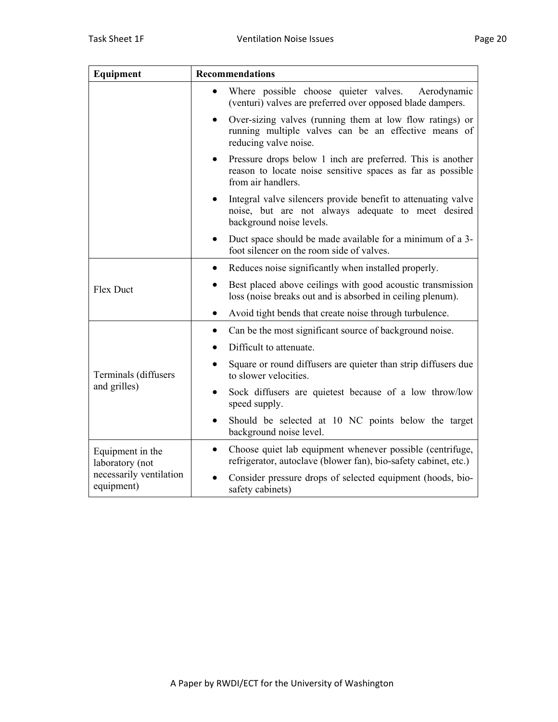| Equipment                             | <b>Recommendations</b>                                                                                                                                       |  |  |  |
|---------------------------------------|--------------------------------------------------------------------------------------------------------------------------------------------------------------|--|--|--|
|                                       | Where possible choose quieter valves.<br>Aerodynamic<br>(venturi) valves are preferred over opposed blade dampers.                                           |  |  |  |
|                                       | Over-sizing valves (running them at low flow ratings) or<br>$\bullet$<br>running multiple valves can be an effective means of<br>reducing valve noise.       |  |  |  |
|                                       | Pressure drops below 1 inch are preferred. This is another<br>reason to locate noise sensitive spaces as far as possible<br>from air handlers.               |  |  |  |
|                                       | Integral valve silencers provide benefit to attenuating valve<br>$\bullet$<br>noise, but are not always adequate to meet desired<br>background noise levels. |  |  |  |
|                                       | Duct space should be made available for a minimum of a 3-<br>٠<br>foot silencer on the room side of valves.                                                  |  |  |  |
| Flex Duct                             | Reduces noise significantly when installed properly.<br>$\bullet$                                                                                            |  |  |  |
|                                       | Best placed above ceilings with good acoustic transmission<br>$\bullet$<br>loss (noise breaks out and is absorbed in ceiling plenum).                        |  |  |  |
|                                       | Avoid tight bends that create noise through turbulence.<br>$\bullet$                                                                                         |  |  |  |
|                                       | Can be the most significant source of background noise.<br>٠                                                                                                 |  |  |  |
|                                       | Difficult to attenuate.                                                                                                                                      |  |  |  |
| Terminals (diffusers<br>and grilles)  | Square or round diffusers are quieter than strip diffusers due<br>$\bullet$<br>to slower velocities.                                                         |  |  |  |
|                                       | Sock diffusers are quietest because of a low throw/low<br>speed supply.                                                                                      |  |  |  |
|                                       | Should be selected at 10 NC points below the target<br>background noise level.                                                                               |  |  |  |
| Equipment in the<br>laboratory (not   | Choose quiet lab equipment whenever possible (centrifuge,<br>$\bullet$<br>refrigerator, autoclave (blower fan), bio-safety cabinet, etc.)                    |  |  |  |
| necessarily ventilation<br>equipment) | Consider pressure drops of selected equipment (hoods, bio-<br>safety cabinets)                                                                               |  |  |  |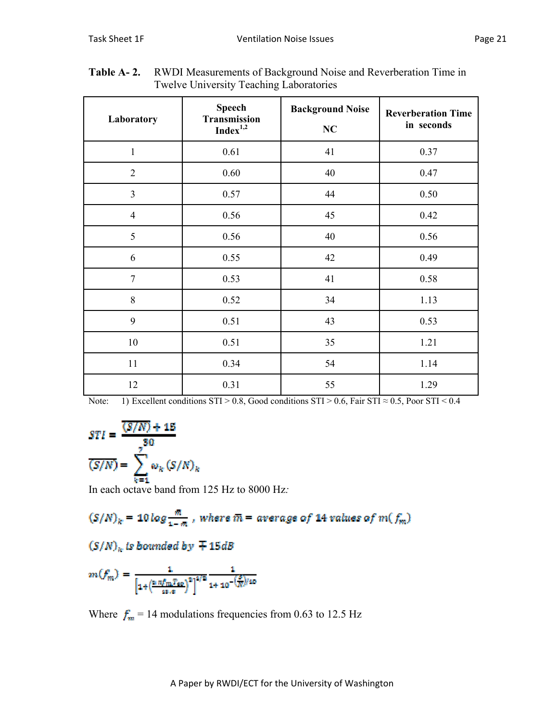| Laboratory     | <b>Speech</b><br><b>Transmission</b><br>Index <sup>1,2</sup> | <b>Background Noise</b><br>NC | <b>Reverberation Time</b><br>in seconds |
|----------------|--------------------------------------------------------------|-------------------------------|-----------------------------------------|
| $\mathbf{1}$   | 0.61                                                         | 41                            | 0.37                                    |
| $\overline{2}$ | 0.60                                                         | 40                            | 0.47                                    |
| $\overline{3}$ | 0.57                                                         | 44                            | 0.50                                    |
| $\overline{4}$ | 0.56                                                         | 45                            | 0.42                                    |
| 5              | 0.56                                                         | 40                            | 0.56                                    |
| 6              | 0.55                                                         | 42                            | 0.49                                    |
| $\overline{7}$ | 0.53                                                         | 41                            | 0.58                                    |
| 8              | 0.52                                                         | 34                            | 1.13                                    |
| 9              | 0.51                                                         | 43                            | 0.53                                    |
| 10             | 0.51                                                         | 35                            | 1.21                                    |
| 11             | 0.34                                                         | 54                            | 1.14                                    |
| 12             | 0.31                                                         | 55                            | 1.29                                    |

**Table A- 2.** RWDI Measurements of Background Noise and Reverberation Time in Twelve University Teaching Laboratories

Note: 1) Excellent conditions  $STI > 0.8$ , Good conditions  $STI > 0.6$ , Fair  $STI \approx 0.5$ , Poor  $STI < 0.4$ 

$$
STI = \frac{\frac{\overline{(S/N)} + 15}{30}}{\frac{7}{\overline{(S/N)}}} = \sum_{k=1}^{7} \omega_k \left(\frac{S}{N}\right)_k
$$

In each octave band from 125 Hz to 8000 Hz*:* 

$$
\big(S/N\big)_k=10\log\frac{\bar{m}}{1-\bar{m}}
$$
 , where  $\bar{m}=$  average of 14 values of  $m(\,f_m)$ 

 $(S/N)_k$  is bounded by  $\mp$  15dB

$$
m(f_m^*)=\frac{1}{\left[1+\left(\frac{\ln \pi f_m T_{\text{SD}}}{4\pi \cdot \pi}\right)^2\right]^{4/2}}\frac{1}{1+10^{-\left(\frac{S}{N}\right)/10}}
$$

Where  $f_m = 14$  modulations frequencies from 0.63 to 12.5 Hz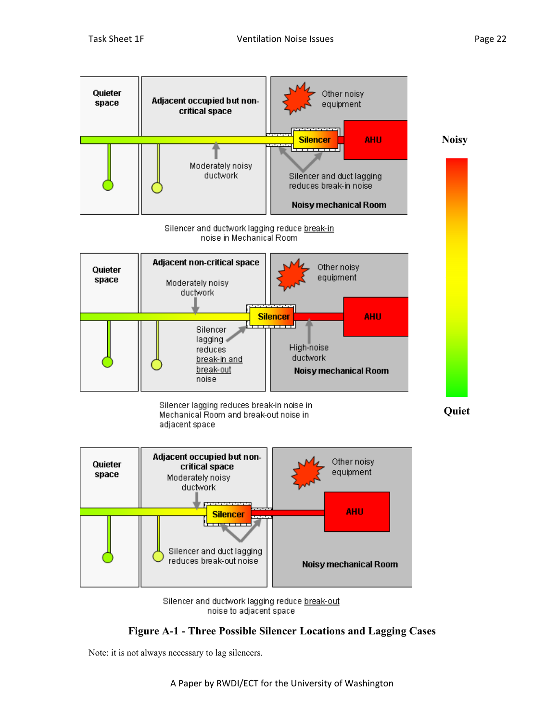

noise to adjacent space

# **Figure A-1 - Three Possible Silencer Locations and Lagging Cases**

Note: it is not always necessary to lag silencers.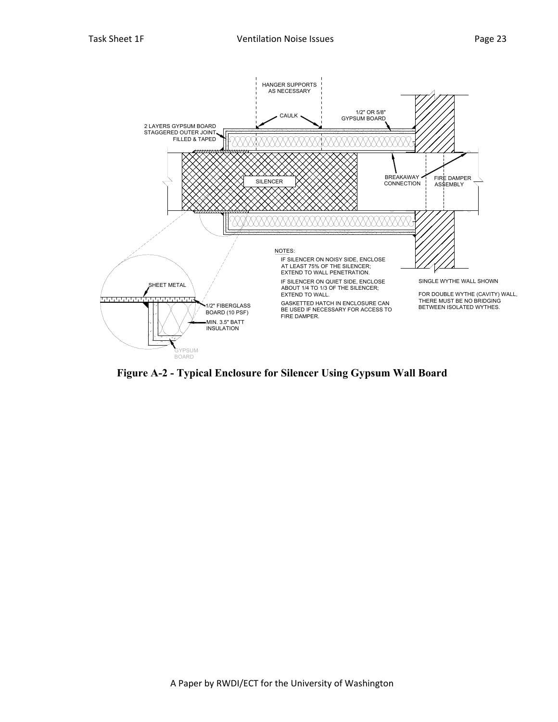

**Figure A-2 - Typical Enclosure for Silencer Using Gypsum Wall Board**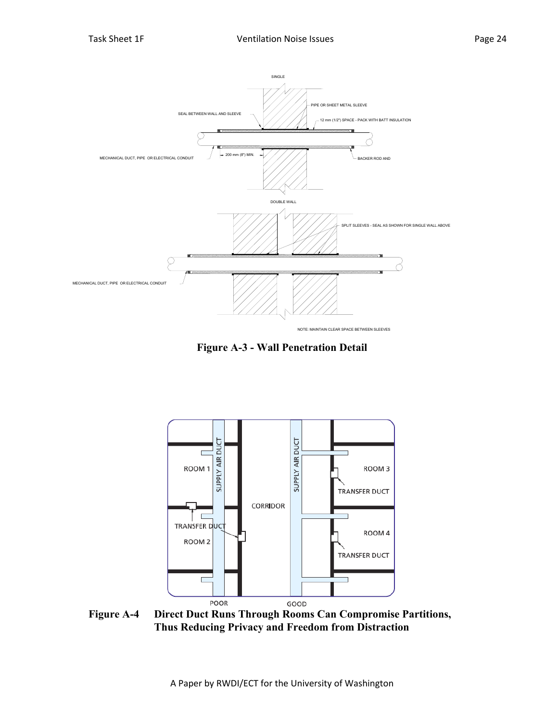

**Figure A-3 - Wall Penetration Detail** 



**Figure A-4 Direct Duct Runs Through Rooms Can Compromise Partitions, Thus Reducing Privacy and Freedom from Distraction**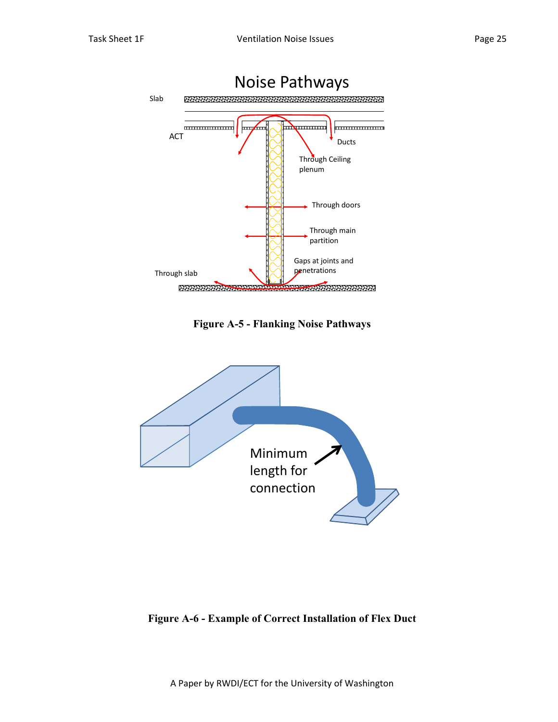

**Figure A-5 - Flanking Noise Pathways** 



# **Figure A-6 - Example of Correct Installation of Flex Duct**